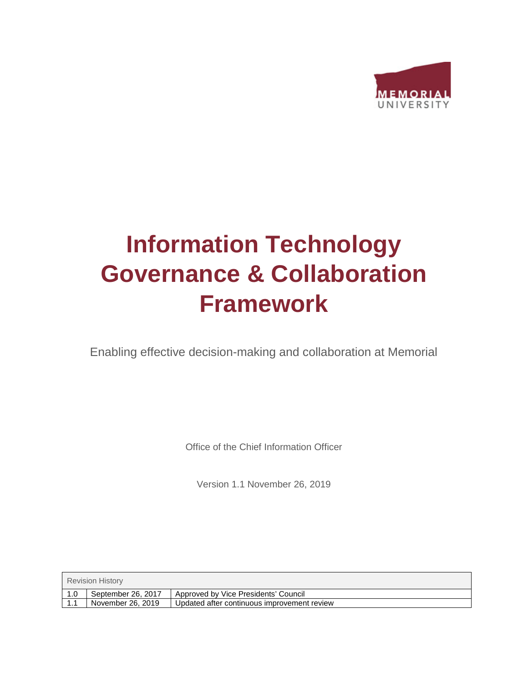

# **Information Technology Governance & Collaboration Framework**

Enabling effective decision-making and collaboration at Memorial

Office of the Chief Information Officer

Version 1.1 November 26, 2019

| <b>Revision History</b> |                    |                                             |  |  |
|-------------------------|--------------------|---------------------------------------------|--|--|
| l 1.0                   | September 26, 2017 | Approved by Vice Presidents' Council        |  |  |
| 1.1                     | November 26, 2019  | Updated after continuous improvement review |  |  |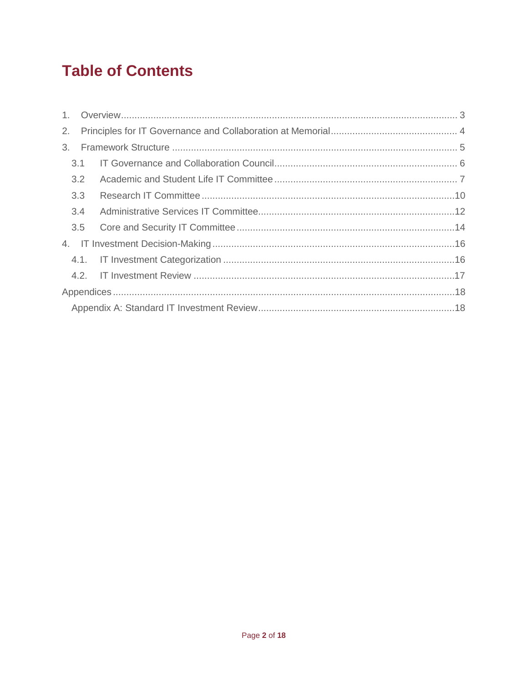# **Table of Contents**

| 2. |     |  |  |
|----|-----|--|--|
| 3. |     |  |  |
|    | 3.1 |  |  |
|    | 3.2 |  |  |
|    | 3.3 |  |  |
|    | 3.4 |  |  |
|    | 3.5 |  |  |
|    |     |  |  |
|    |     |  |  |
|    |     |  |  |
|    |     |  |  |
|    |     |  |  |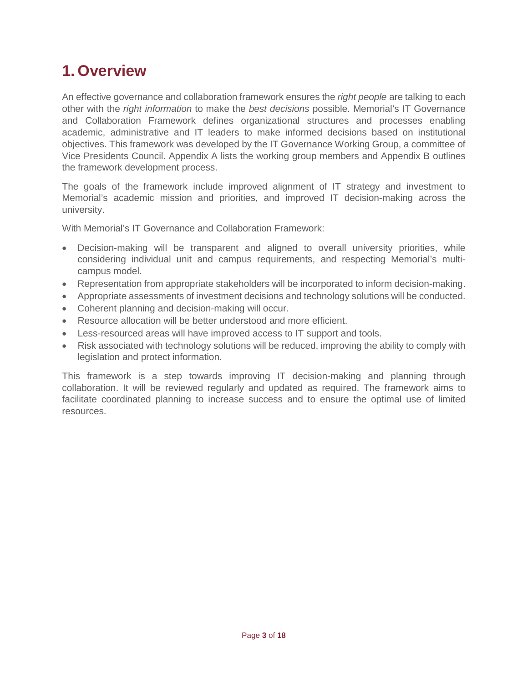# <span id="page-2-0"></span>**1. Overview**

An effective governance and collaboration framework ensures the *right people* are talking to each other with the *right information* to make the *best decisions* possible. Memorial's IT Governance and Collaboration Framework defines organizational structures and processes enabling academic, administrative and IT leaders to make informed decisions based on institutional objectives. This framework was developed by the IT Governance Working Group, a committee of Vice Presidents Council. Appendix A lists the working group members and Appendix B outlines the framework development process.

The goals of the framework include improved alignment of IT strategy and investment to Memorial's academic mission and priorities, and improved IT decision-making across the university.

With Memorial's IT Governance and Collaboration Framework:

- Decision-making will be transparent and aligned to overall university priorities, while considering individual unit and campus requirements, and respecting Memorial's multicampus model.
- Representation from appropriate stakeholders will be incorporated to inform decision-making.
- Appropriate assessments of investment decisions and technology solutions will be conducted.
- Coherent planning and decision-making will occur.
- Resource allocation will be better understood and more efficient.
- Less-resourced areas will have improved access to IT support and tools.
- Risk associated with technology solutions will be reduced, improving the ability to comply with legislation and protect information.

<span id="page-2-1"></span>This framework is a step towards improving IT decision-making and planning through collaboration. It will be reviewed regularly and updated as required. The framework aims to facilitate coordinated planning to increase success and to ensure the optimal use of limited resources.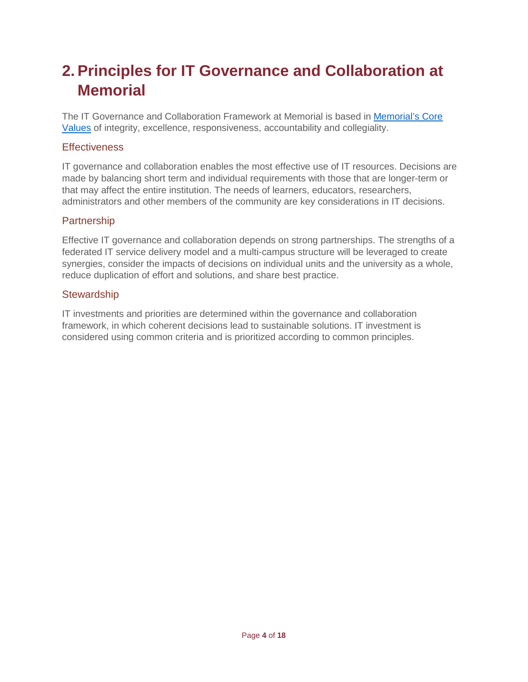# <span id="page-3-0"></span>**2. Principles for IT Governance and Collaboration at Memorial**

The IT Governance and Collaboration Framework at Memorial is based in [Memorial's Core](http://www.mun.ca/president/home/vision.php)  [Values](http://www.mun.ca/president/home/vision.php) of integrity, excellence, responsiveness, accountability and collegiality.

#### **Effectiveness**

IT governance and collaboration enables the most effective use of IT resources. Decisions are made by balancing short term and individual requirements with those that are longer-term or that may affect the entire institution. The needs of learners, educators, researchers, administrators and other members of the community are key considerations in IT decisions.

#### Partnership

Effective IT governance and collaboration depends on strong partnerships. The strengths of a federated IT service delivery model and a multi-campus structure will be leveraged to create synergies, consider the impacts of decisions on individual units and the university as a whole, reduce duplication of effort and solutions, and share best practice.

#### **Stewardship**

IT investments and priorities are determined within the governance and collaboration framework, in which coherent decisions lead to sustainable solutions. IT investment is considered using common criteria and is prioritized according to common principles.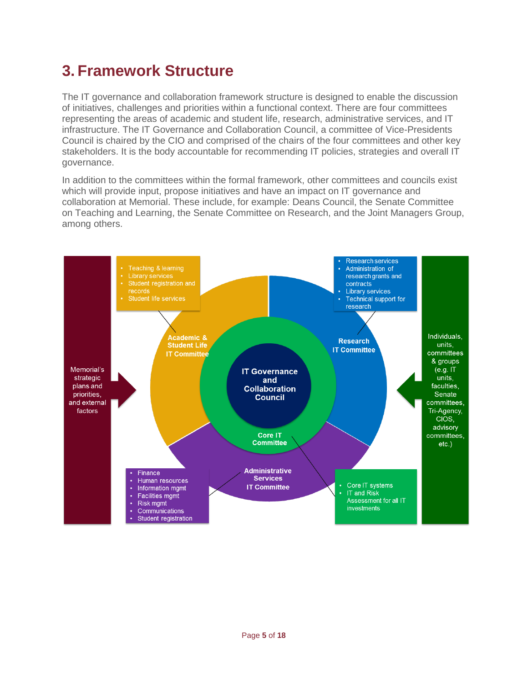# <span id="page-4-0"></span>**3. Framework Structure**

The IT governance and collaboration framework structure is designed to enable the discussion of initiatives, challenges and priorities within a functional context. There are four committees representing the areas of academic and student life, research, administrative services, and IT infrastructure. The IT Governance and Collaboration Council, a committee of Vice-Presidents Council is chaired by the CIO and comprised of the chairs of the four committees and other key stakeholders. It is the body accountable for recommending IT policies, strategies and overall IT governance.

In addition to the committees within the formal framework, other committees and councils exist which will provide input, propose initiatives and have an impact on IT governance and collaboration at Memorial. These include, for example: Deans Council, the Senate Committee on Teaching and Learning, the Senate Committee on Research, and the Joint Managers Group, among others.

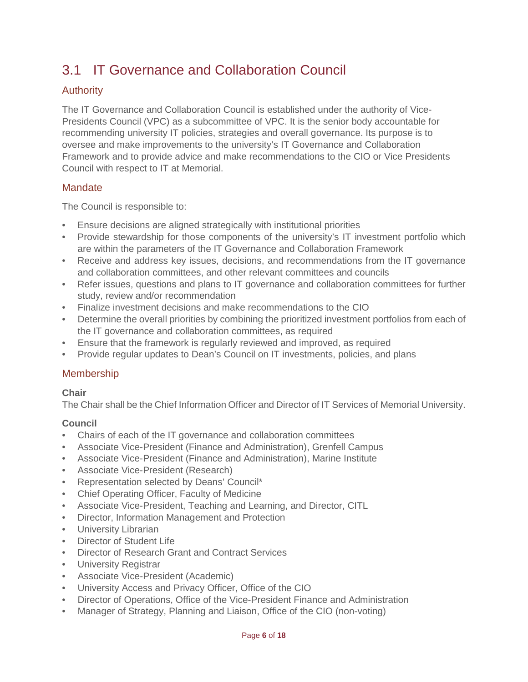### <span id="page-5-0"></span>3.1 IT Governance and Collaboration Council

#### Authority

The IT Governance and Collaboration Council is established under the authority of Vice-Presidents Council (VPC) as a subcommittee of VPC. It is the senior body accountable for recommending university IT policies, strategies and overall governance. Its purpose is to oversee and make improvements to the university's IT Governance and Collaboration Framework and to provide advice and make recommendations to the CIO or Vice Presidents Council with respect to IT at Memorial.

#### **Mandate**

The Council is responsible to:

- Ensure decisions are aligned strategically with institutional priorities
- Provide stewardship for those components of the university's IT investment portfolio which are within the parameters of the IT Governance and Collaboration Framework
- Receive and address key issues, decisions, and recommendations from the IT governance and collaboration committees, and other relevant committees and councils
- Refer issues, questions and plans to IT governance and collaboration committees for further study, review and/or recommendation
- Finalize investment decisions and make recommendations to the CIO
- Determine the overall priorities by combining the prioritized investment portfolios from each of the IT governance and collaboration committees, as required
- Ensure that the framework is regularly reviewed and improved, as required
- Provide regular updates to Dean's Council on IT investments, policies, and plans

#### Membership

#### **Chair**

The Chair shall be the Chief Information Officer and Director of IT Services of Memorial University.

#### **Council**

- Chairs of each of the IT governance and collaboration committees
- Associate Vice-President (Finance and Administration), Grenfell Campus
- Associate Vice-President (Finance and Administration), Marine Institute
- Associate Vice-President (Research)
- Representation selected by Deans' Council\*
- Chief Operating Officer, Faculty of Medicine
- Associate Vice-President, Teaching and Learning, and Director, CITL
- Director, Information Management and Protection
- University Librarian
- Director of Student Life
- Director of Research Grant and Contract Services
- University Registrar
- Associate Vice-President (Academic)
- University Access and Privacy Officer, Office of the CIO
- Director of Operations, Office of the Vice-President Finance and Administration
- Manager of Strategy, Planning and Liaison, Office of the CIO (non-voting)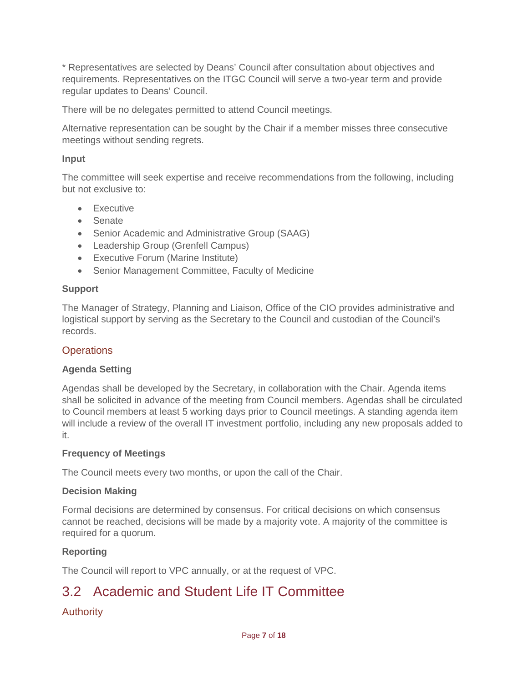\* Representatives are selected by Deans' Council after consultation about objectives and requirements. Representatives on the ITGC Council will serve a two-year term and provide regular updates to Deans' Council.

There will be no delegates permitted to attend Council meetings.

Alternative representation can be sought by the Chair if a member misses three consecutive meetings without sending regrets.

#### **Input**

The committee will seek expertise and receive recommendations from the following, including but not exclusive to:

- Executive
- Senate
- Senior Academic and Administrative Group (SAAG)
- Leadership Group (Grenfell Campus)
- Executive Forum (Marine Institute)
- Senior Management Committee, Faculty of Medicine

#### **Support**

The Manager of Strategy, Planning and Liaison, Office of the CIO provides administrative and logistical support by serving as the Secretary to the Council and custodian of the Council's records.

#### **Operations**

#### **Agenda Setting**

Agendas shall be developed by the Secretary, in collaboration with the Chair. Agenda items shall be solicited in advance of the meeting from Council members. Agendas shall be circulated to Council members at least 5 working days prior to Council meetings. A standing agenda item will include a review of the overall IT investment portfolio, including any new proposals added to it.

#### **Frequency of Meetings**

The Council meets every two months, or upon the call of the Chair.

#### **Decision Making**

Formal decisions are determined by consensus. For critical decisions on which consensus cannot be reached, decisions will be made by a majority vote. A majority of the committee is required for a quorum.

#### **Reporting**

The Council will report to VPC annually, or at the request of VPC.

### <span id="page-6-0"></span>3.2 Academic and Student Life IT Committee

#### Authority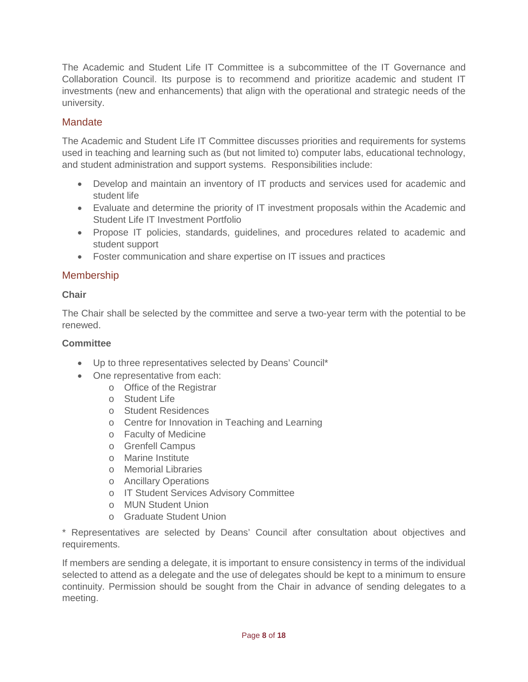The Academic and Student Life IT Committee is a subcommittee of the IT Governance and Collaboration Council. Its purpose is to recommend and prioritize academic and student IT investments (new and enhancements) that align with the operational and strategic needs of the university.

#### **Mandate**

The Academic and Student Life IT Committee discusses priorities and requirements for systems used in teaching and learning such as (but not limited to) computer labs, educational technology, and student administration and support systems. Responsibilities include:

- Develop and maintain an inventory of IT products and services used for academic and student life
- Evaluate and determine the priority of IT investment proposals within the Academic and Student Life IT Investment Portfolio
- Propose IT policies, standards, guidelines, and procedures related to academic and student support
- Foster communication and share expertise on IT issues and practices

#### Membership

#### **Chair**

The Chair shall be selected by the committee and serve a two-year term with the potential to be renewed.

#### **Committee**

- Up to three representatives selected by Deans' Council\*
- One representative from each:
	- o Office of the Registrar
	- o Student Life
	- o Student Residences
	- o Centre for Innovation in Teaching and Learning
	- o Faculty of Medicine
	- o Grenfell Campus
	- o Marine Institute
	- o Memorial Libraries
	- o Ancillary Operations
	- o IT Student Services Advisory Committee
	- o MUN Student Union
	- o Graduate Student Union

\* Representatives are selected by Deans' Council after consultation about objectives and requirements.

If members are sending a delegate, it is important to ensure consistency in terms of the individual selected to attend as a delegate and the use of delegates should be kept to a minimum to ensure continuity. Permission should be sought from the Chair in advance of sending delegates to a meeting.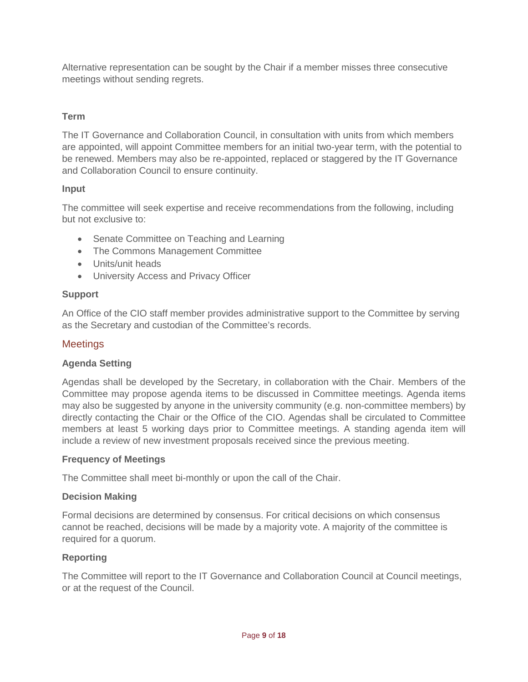Alternative representation can be sought by the Chair if a member misses three consecutive meetings without sending regrets.

#### **Term**

The IT Governance and Collaboration Council, in consultation with units from which members are appointed, will appoint Committee members for an initial two-year term, with the potential to be renewed. Members may also be re-appointed, replaced or staggered by the IT Governance and Collaboration Council to ensure continuity.

#### **Input**

The committee will seek expertise and receive recommendations from the following, including but not exclusive to:

- Senate Committee on Teaching and Learning
- The Commons Management Committee
- Units/unit heads
- University Access and Privacy Officer

#### **Support**

An Office of the CIO staff member provides administrative support to the Committee by serving as the Secretary and custodian of the Committee's records.

#### **Meetings**

#### **Agenda Setting**

Agendas shall be developed by the Secretary, in collaboration with the Chair. Members of the Committee may propose agenda items to be discussed in Committee meetings. Agenda items may also be suggested by anyone in the university community (e.g. non-committee members) by directly contacting the Chair or the Office of the CIO. Agendas shall be circulated to Committee members at least 5 working days prior to Committee meetings. A standing agenda item will include a review of new investment proposals received since the previous meeting.

#### **Frequency of Meetings**

The Committee shall meet bi-monthly or upon the call of the Chair.

#### **Decision Making**

Formal decisions are determined by consensus. For critical decisions on which consensus cannot be reached, decisions will be made by a majority vote. A majority of the committee is required for a quorum.

#### **Reporting**

The Committee will report to the IT Governance and Collaboration Council at Council meetings, or at the request of the Council.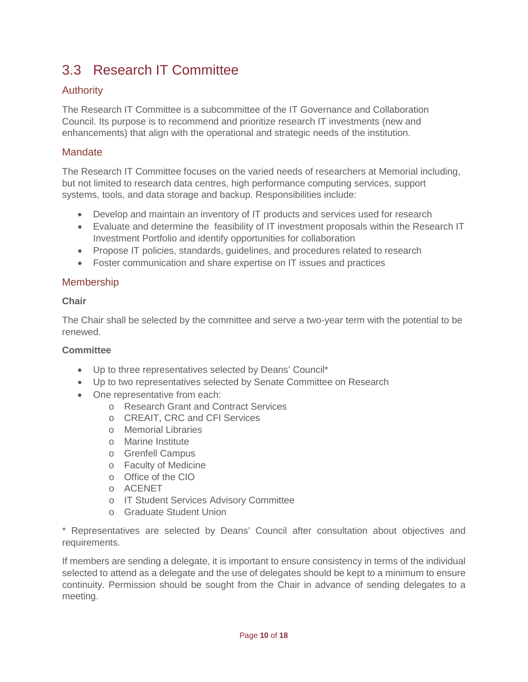### <span id="page-9-0"></span>3.3 Research IT Committee

#### Authority

The Research IT Committee is a subcommittee of the IT Governance and Collaboration Council. Its purpose is to recommend and prioritize research IT investments (new and enhancements) that align with the operational and strategic needs of the institution.

#### **Mandate**

The Research IT Committee focuses on the varied needs of researchers at Memorial including, but not limited to research data centres, high performance computing services, support systems, tools, and data storage and backup. Responsibilities include:

- Develop and maintain an inventory of IT products and services used for research
- Evaluate and determine the feasibility of IT investment proposals within the Research IT Investment Portfolio and identify opportunities for collaboration
- Propose IT policies, standards, guidelines, and procedures related to research
- Foster communication and share expertise on IT issues and practices

#### **Membership**

#### **Chair**

The Chair shall be selected by the committee and serve a two-year term with the potential to be renewed.

#### **Committee**

- Up to three representatives selected by Deans' Council\*
- Up to two representatives selected by Senate Committee on Research
- One representative from each:
	- o Research Grant and Contract Services
	- o CREAIT, CRC and CFI Services
	- o Memorial Libraries
	- o Marine Institute
	- o Grenfell Campus
	- o Faculty of Medicine
	- o Office of the CIO
	- o ACENET
	- o IT Student Services Advisory Committee
	- o Graduate Student Union

\* Representatives are selected by Deans' Council after consultation about objectives and requirements.

If members are sending a delegate, it is important to ensure consistency in terms of the individual selected to attend as a delegate and the use of delegates should be kept to a minimum to ensure continuity. Permission should be sought from the Chair in advance of sending delegates to a meeting.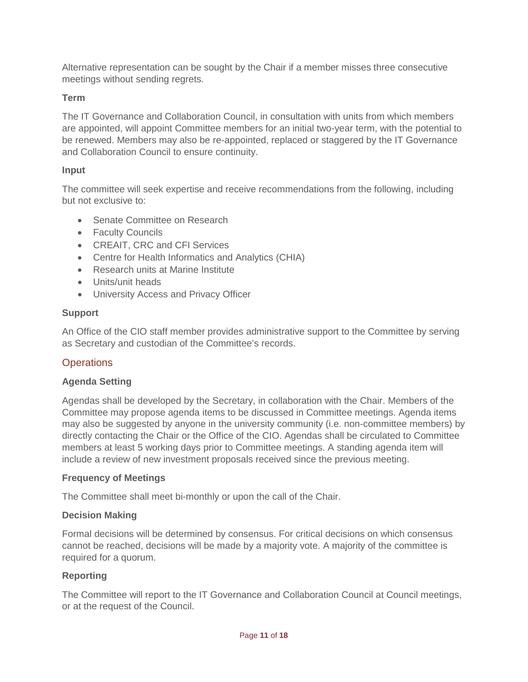Alternative representation can be sought by the Chair if a member misses three consecutive meetings without sending regrets.

#### **Term**

The IT Governance and Collaboration Council, in consultation with units from which members are appointed, will appoint Committee members for an initial two-year term, with the potential to be renewed. Members may also be re-appointed, replaced or staggered by the IT Governance and Collaboration Council to ensure continuity.

#### **Input**

The committee will seek expertise and receive recommendations from the following, including but not exclusive to:

- Senate Committee on Research
- Faculty Councils
- CREAIT, CRC and CFI Services
- Centre for Health Informatics and Analytics (CHIA)
- Research units at Marine Institute
- Units/unit heads
- University Access and Privacy Officer

#### **Support**

An Office of the CIO staff member provides administrative support to the Committee by serving as Secretary and custodian of the Committee's records.

#### **Operations**

#### **Agenda Setting**

Agendas shall be developed by the Secretary, in collaboration with the Chair. Members of the Committee may propose agenda items to be discussed in Committee meetings. Agenda items may also be suggested by anyone in the university community (i.e. non-committee members) by directly contacting the Chair or the Office of the CIO. Agendas shall be circulated to Committee members at least 5 working days prior to Committee meetings. A standing agenda item will include a review of new investment proposals received since the previous meeting.

#### **Frequency of Meetings**

The Committee shall meet bi-monthly or upon the call of the Chair.

#### **Decision Making**

Formal decisions will be determined by consensus. For critical decisions on which consensus cannot be reached, decisions will be made by a majority vote. A majority of the committee is required for a quorum.

#### **Reporting**

The Committee will report to the IT Governance and Collaboration Council at Council meetings, or at the request of the Council.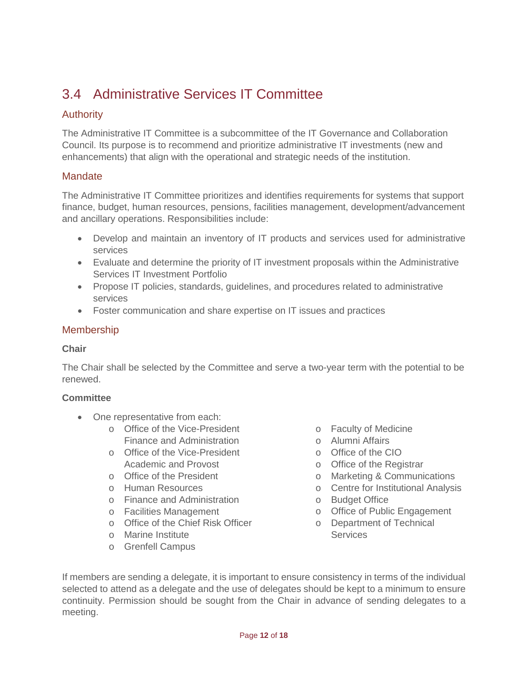### <span id="page-11-0"></span>3.4 Administrative Services IT Committee

#### Authority

The Administrative IT Committee is a subcommittee of the IT Governance and Collaboration Council. Its purpose is to recommend and prioritize administrative IT investments (new and enhancements) that align with the operational and strategic needs of the institution.

#### **Mandate**

The Administrative IT Committee prioritizes and identifies requirements for systems that support finance, budget, human resources, pensions, facilities management, development/advancement and ancillary operations. Responsibilities include:

- Develop and maintain an inventory of IT products and services used for administrative services
- Evaluate and determine the priority of IT investment proposals within the Administrative Services IT Investment Portfolio
- Propose IT policies, standards, guidelines, and procedures related to administrative services
- Foster communication and share expertise on IT issues and practices

#### Membership

#### **Chair**

The Chair shall be selected by the Committee and serve a two-year term with the potential to be renewed.

#### **Committee**

- One representative from each:
	- o Office of the Vice-President Finance and Administration
	- o Office of the Vice-President Academic and Provost
	- o Office of the President
	- o Human Resources
	- o Finance and Administration
	- o Facilities Management
	- o Office of the Chief Risk Officer
	- o Marine Institute
	- o Grenfell Campus
- o Faculty of Medicine
- o Alumni Affairs
- o Office of the CIO
	- o Office of the Registrar
	- o Marketing & Communications
	- o Centre for Institutional Analysis
	- o Budget Office
	- o Office of Public Engagement
- o Department of Technical **Services**

If members are sending a delegate, it is important to ensure consistency in terms of the individual selected to attend as a delegate and the use of delegates should be kept to a minimum to ensure continuity. Permission should be sought from the Chair in advance of sending delegates to a meeting.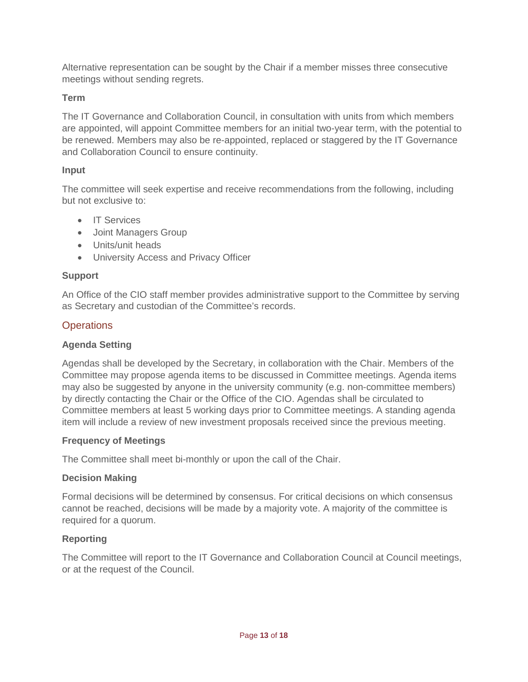Alternative representation can be sought by the Chair if a member misses three consecutive meetings without sending regrets.

#### **Term**

The IT Governance and Collaboration Council, in consultation with units from which members are appointed, will appoint Committee members for an initial two-year term, with the potential to be renewed. Members may also be re-appointed, replaced or staggered by the IT Governance and Collaboration Council to ensure continuity.

#### **Input**

The committee will seek expertise and receive recommendations from the following, including but not exclusive to:

- IT Services
- Joint Managers Group
- Units/unit heads
- University Access and Privacy Officer

#### **Support**

An Office of the CIO staff member provides administrative support to the Committee by serving as Secretary and custodian of the Committee's records.

#### **Operations**

#### **Agenda Setting**

Agendas shall be developed by the Secretary, in collaboration with the Chair. Members of the Committee may propose agenda items to be discussed in Committee meetings. Agenda items may also be suggested by anyone in the university community (e.g. non-committee members) by directly contacting the Chair or the Office of the CIO. Agendas shall be circulated to Committee members at least 5 working days prior to Committee meetings. A standing agenda item will include a review of new investment proposals received since the previous meeting.

#### **Frequency of Meetings**

The Committee shall meet bi-monthly or upon the call of the Chair.

#### **Decision Making**

Formal decisions will be determined by consensus. For critical decisions on which consensus cannot be reached, decisions will be made by a majority vote. A majority of the committee is required for a quorum.

#### **Reporting**

The Committee will report to the IT Governance and Collaboration Council at Council meetings, or at the request of the Council.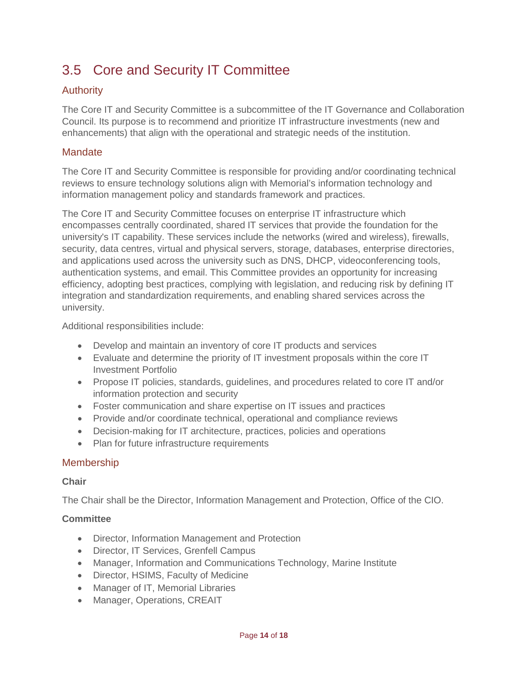## <span id="page-13-0"></span>3.5 Core and Security IT Committee

#### Authority

The Core IT and Security Committee is a subcommittee of the IT Governance and Collaboration Council. Its purpose is to recommend and prioritize IT infrastructure investments (new and enhancements) that align with the operational and strategic needs of the institution.

#### **Mandate**

The Core IT and Security Committee is responsible for providing and/or coordinating technical reviews to ensure technology solutions align with Memorial's information technology and information management policy and standards framework and practices.

The Core IT and Security Committee focuses on enterprise IT infrastructure which encompasses centrally coordinated, shared IT services that provide the foundation for the university's IT capability. These services include the networks (wired and wireless), firewalls, security, data centres, virtual and physical servers, storage, databases, enterprise directories, and applications used across the university such as DNS, DHCP, videoconferencing tools, authentication systems, and email. This Committee provides an opportunity for increasing efficiency, adopting best practices, complying with legislation, and reducing risk by defining IT integration and standardization requirements, and enabling shared services across the university.

Additional responsibilities include:

- Develop and maintain an inventory of core IT products and services
- Evaluate and determine the priority of IT investment proposals within the core IT Investment Portfolio
- Propose IT policies, standards, guidelines, and procedures related to core IT and/or information protection and security
- Foster communication and share expertise on IT issues and practices
- Provide and/or coordinate technical, operational and compliance reviews
- Decision-making for IT architecture, practices, policies and operations
- Plan for future infrastructure requirements

#### **Membership**

#### **Chair**

The Chair shall be the Director, Information Management and Protection, Office of the CIO.

#### **Committee**

- Director, Information Management and Protection
- Director, IT Services, Grenfell Campus
- Manager, Information and Communications Technology, Marine Institute
- Director, HSIMS, Faculty of Medicine
- Manager of IT, Memorial Libraries
- Manager, Operations, CREAIT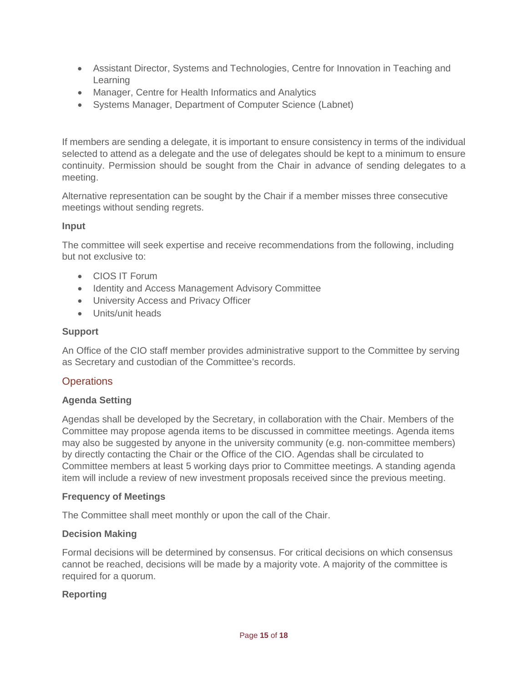- Assistant Director, Systems and Technologies, Centre for Innovation in Teaching and Learning
- Manager, Centre for Health Informatics and Analytics
- Systems Manager, Department of Computer Science (Labnet)

If members are sending a delegate, it is important to ensure consistency in terms of the individual selected to attend as a delegate and the use of delegates should be kept to a minimum to ensure continuity. Permission should be sought from the Chair in advance of sending delegates to a meeting.

Alternative representation can be sought by the Chair if a member misses three consecutive meetings without sending regrets.

#### **Input**

The committee will seek expertise and receive recommendations from the following, including but not exclusive to:

- CIOS IT Forum
- Identity and Access Management Advisory Committee
- University Access and Privacy Officer
- Units/unit heads

#### **Support**

An Office of the CIO staff member provides administrative support to the Committee by serving as Secretary and custodian of the Committee's records.

#### **Operations**

#### **Agenda Setting**

Agendas shall be developed by the Secretary, in collaboration with the Chair. Members of the Committee may propose agenda items to be discussed in committee meetings. Agenda items may also be suggested by anyone in the university community (e.g. non-committee members) by directly contacting the Chair or the Office of the CIO. Agendas shall be circulated to Committee members at least 5 working days prior to Committee meetings. A standing agenda item will include a review of new investment proposals received since the previous meeting.

#### **Frequency of Meetings**

The Committee shall meet monthly or upon the call of the Chair.

#### **Decision Making**

Formal decisions will be determined by consensus. For critical decisions on which consensus cannot be reached, decisions will be made by a majority vote. A majority of the committee is required for a quorum.

#### **Reporting**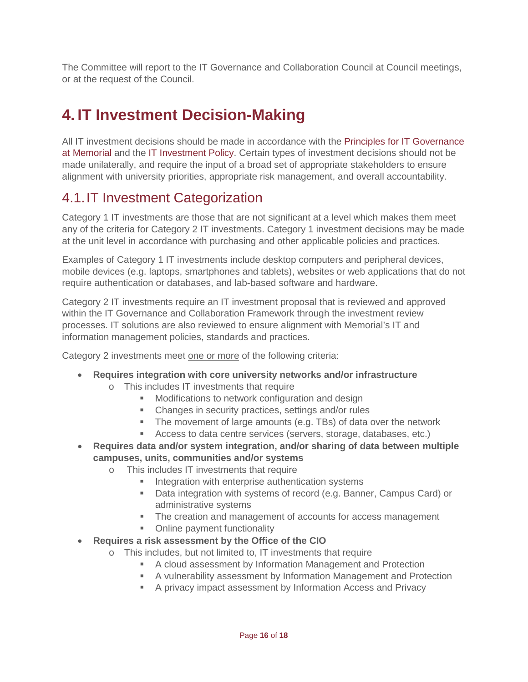The Committee will report to the IT Governance and Collaboration Council at Council meetings, or at the request of the Council.

# <span id="page-15-0"></span>**4. IT Investment Decision-Making**

All IT investment decisions should be made in accordance with the [Principles for IT Governance](#page-2-1)  at [Memorial](#page-2-1) and the [IT Investment Policy.](http://www.mun.ca/policy/site/policy.php?id=276) Certain types of investment decisions should not be made unilaterally, and require the input of a broad set of appropriate stakeholders to ensure alignment with university priorities, appropriate risk management, and overall accountability.

### <span id="page-15-1"></span>4.1.IT Investment Categorization

Category 1 IT investments are those that are not significant at a level which makes them meet any of the criteria for Category 2 IT investments. Category 1 investment decisions may be made at the unit level in accordance with purchasing and other applicable policies and practices.

Examples of Category 1 IT investments include desktop computers and peripheral devices, mobile devices (e.g. laptops, smartphones and tablets), websites or web applications that do not require authentication or databases, and lab-based software and hardware.

Category 2 IT investments require an IT investment proposal that is reviewed and approved within the IT Governance and Collaboration Framework through the investment review processes. IT solutions are also reviewed to ensure alignment with Memorial's IT and information management policies, standards and practices.

Category 2 investments meet one or more of the following criteria:

- **Requires integration with core university networks and/or infrastructure**
	- o This includes IT investments that require
		- **Modifications to network configuration and design**
		- Changes in security practices, settings and/or rules
		- The movement of large amounts (e.g. TBs) of data over the network
		- Access to data centre services (servers, storage, databases, etc.)
- **Requires data and/or system integration, and/or sharing of data between multiple campuses, units, communities and/or systems**
	- o This includes IT investments that require
		- Integration with enterprise authentication systems
		- Data integration with systems of record (e.g. Banner, Campus Card) or administrative systems
		- The creation and management of accounts for access management
		- Online payment functionality
- **Requires a risk assessment by the Office of the CIO**
	- o This includes, but not limited to, IT investments that require
		- A cloud assessment by Information Management and Protection
		- A vulnerability assessment by Information Management and Protection
		- A privacy impact assessment by Information Access and Privacy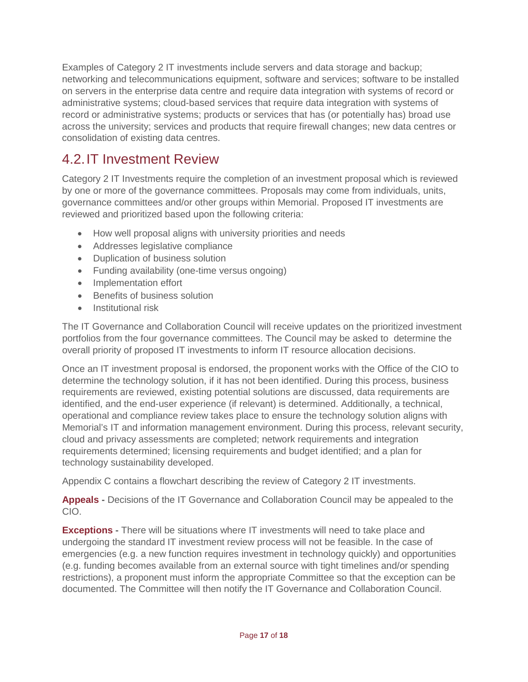Examples of Category 2 IT investments include servers and data storage and backup; networking and telecommunications equipment, software and services; software to be installed on servers in the enterprise data centre and require data integration with systems of record or administrative systems; cloud-based services that require data integration with systems of record or administrative systems; products or services that has (or potentially has) broad use across the university; services and products that require firewall changes; new data centres or consolidation of existing data centres.

### <span id="page-16-0"></span>4.2.IT Investment Review

Category 2 IT Investments require the completion of an investment proposal which is reviewed by one or more of the governance committees. Proposals may come from individuals, units, governance committees and/or other groups within Memorial. Proposed IT investments are reviewed and prioritized based upon the following criteria:

- How well proposal aligns with university priorities and needs
- Addresses legislative compliance
- Duplication of business solution
- Funding availability (one-time versus ongoing)
- Implementation effort
- Benefits of business solution
- Institutional risk

The IT Governance and Collaboration Council will receive updates on the prioritized investment portfolios from the four governance committees. The Council may be asked to determine the overall priority of proposed IT investments to inform IT resource allocation decisions.

Once an IT investment proposal is endorsed, the proponent works with the Office of the CIO to determine the technology solution, if it has not been identified. During this process, business requirements are reviewed, existing potential solutions are discussed, data requirements are identified, and the end-user experience (if relevant) is determined. Additionally, a technical, operational and compliance review takes place to ensure the technology solution aligns with Memorial's IT and information management environment. During this process, relevant security, cloud and privacy assessments are completed; network requirements and integration requirements determined; licensing requirements and budget identified; and a plan for technology sustainability developed.

Appendix C contains a flowchart describing the review of Category 2 IT investments.

**Appeals -** Decisions of the IT Governance and Collaboration Council may be appealed to the CIO.

**Exceptions -** There will be situations where IT investments will need to take place and undergoing the standard IT investment review process will not be feasible. In the case of emergencies (e.g. a new function requires investment in technology quickly) and opportunities (e.g. funding becomes available from an external source with tight timelines and/or spending restrictions), a proponent must inform the appropriate Committee so that the exception can be documented. The Committee will then notify the IT Governance and Collaboration Council.